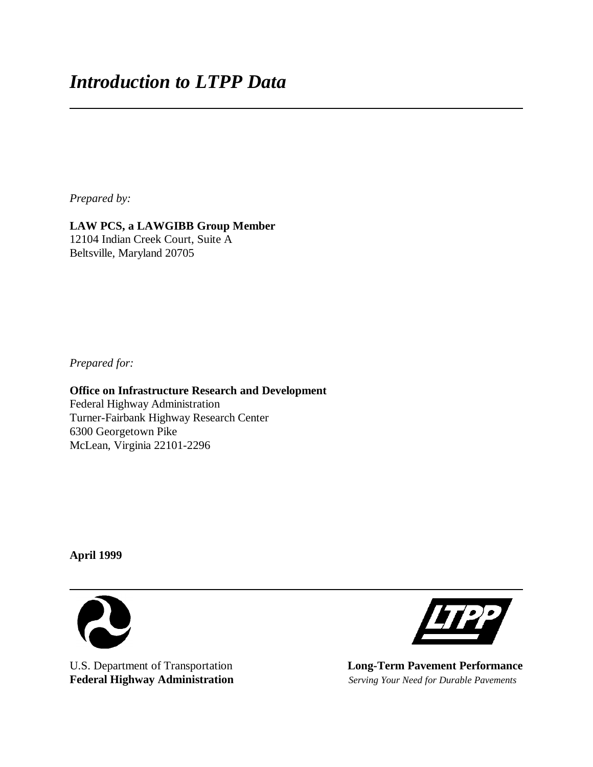*Prepared by:*

# **LAW PCS, a LAWGIBB Group Member**

12104 Indian Creek Court, Suite A Beltsville, Maryland 20705

*Prepared for:*

**Office on Infrastructure Research and Development** Federal Highway Administration Turner-Fairbank Highway Research Center 6300 Georgetown Pike McLean, Virginia 22101-2296

**April 1999**





U.S. Department of Transportation **Long-Term Pavement Performance**<br> **Federal Highway Administration** *Serving Your Need for Durable Pavements* **Federal Highway Administration** *Serving Your Need for Durable Pavements*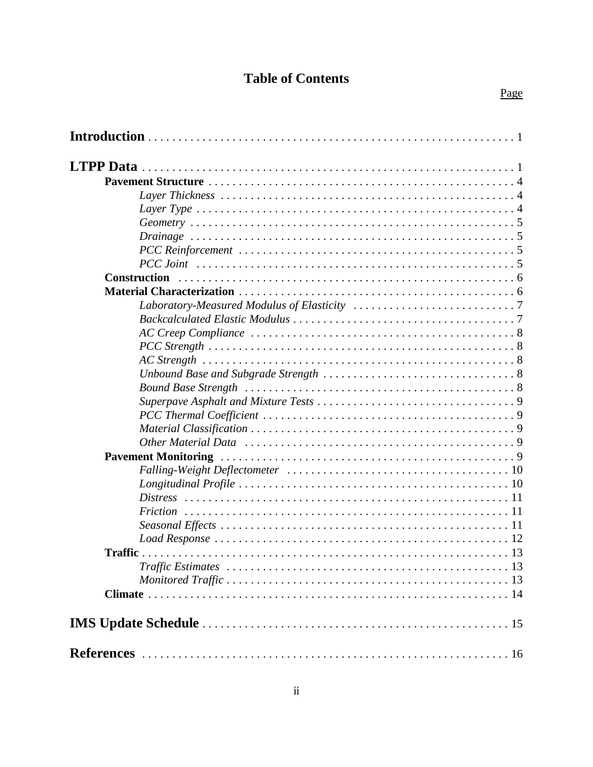# **Table of Contents**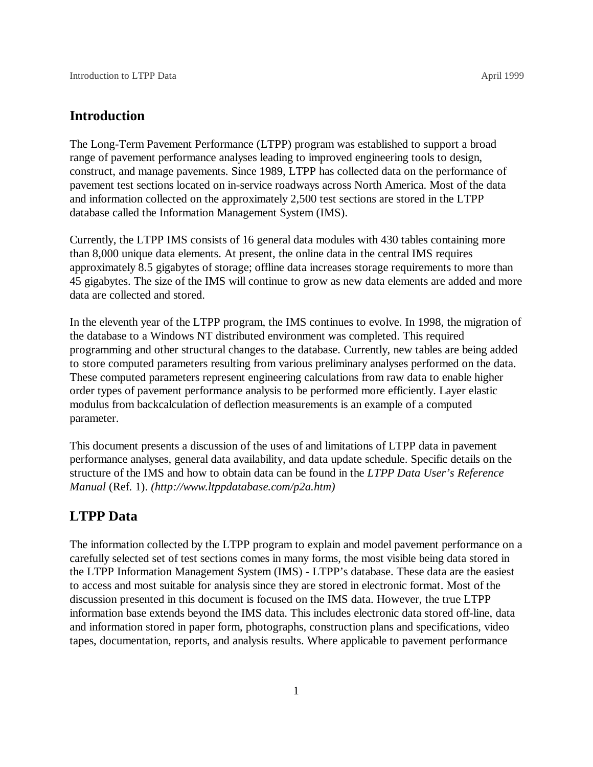### **Introduction**

The Long-Term Pavement Performance (LTPP) program was established to support a broad range of pavement performance analyses leading to improved engineering tools to design, construct, and manage pavements. Since 1989, LTPP has collected data on the performance of pavement test sections located on in-service roadways across North America. Most of the data and information collected on the approximately 2,500 test sections are stored in the LTPP database called the Information Management System (IMS).

Currently, the LTPP IMS consists of 16 general data modules with 430 tables containing more than 8,000 unique data elements. At present, the online data in the central IMS requires approximately 8.5 gigabytes of storage; offline data increases storage requirements to more than 45 gigabytes. The size of the IMS will continue to grow as new data elements are added and more data are collected and stored.

In the eleventh year of the LTPP program, the IMS continues to evolve. In 1998, the migration of the database to a Windows NT distributed environment was completed. This required programming and other structural changes to the database. Currently, new tables are being added to store computed parameters resulting from various preliminary analyses performed on the data. These computed parameters represent engineering calculations from raw data to enable higher order types of pavement performance analysis to be performed more efficiently. Layer elastic modulus from backcalculation of deflection measurements is an example of a computed parameter.

This document presents a discussion of the uses of and limitations of LTPP data in pavement performance analyses, general data availability, and data update schedule. Specific details on the structure of the IMS and how to obtain data can be found in the *LTPP Data User's Reference Manual* (Ref. 1). *(http://www.ltppdatabase.com/p2a.htm)*

## **LTPP Data**

The information collected by the LTPP program to explain and model pavement performance on a carefully selected set of test sections comes in many forms, the most visible being data stored in the LTPP Information Management System (IMS) - LTPP's database. These data are the easiest to access and most suitable for analysis since they are stored in electronic format. Most of the discussion presented in this document is focused on the IMS data. However, the true LTPP information base extends beyond the IMS data. This includes electronic data stored off-line, data and information stored in paper form, photographs, construction plans and specifications, video tapes, documentation, reports, and analysis results. Where applicable to pavement performance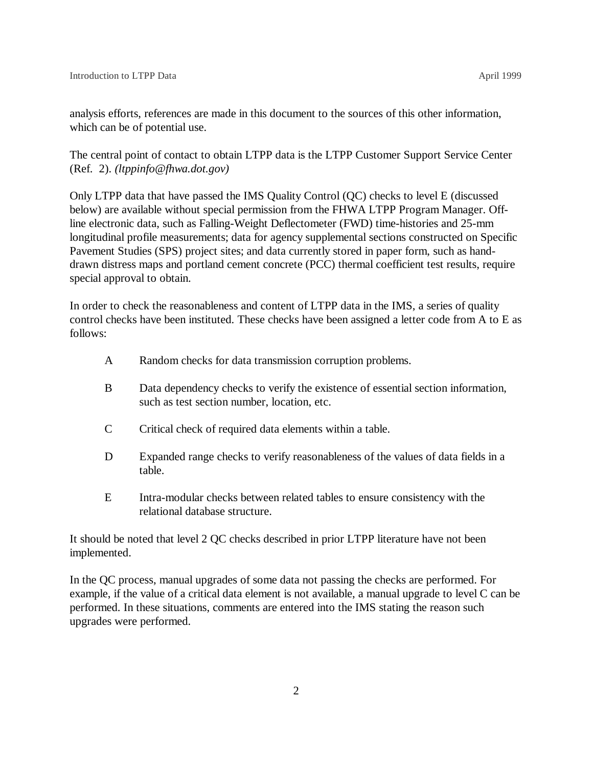analysis efforts, references are made in this document to the sources of this other information, which can be of potential use.

The central point of contact to obtain LTPP data is the LTPP Customer Support Service Center (Ref. 2). *(ltppinfo@fhwa.dot.gov)* 

Only LTPP data that have passed the IMS Quality Control (QC) checks to level E (discussed below) are available without special permission from the FHWA LTPP Program Manager. Offline electronic data, such as Falling-Weight Deflectometer (FWD) time-histories and 25-mm longitudinal profile measurements; data for agency supplemental sections constructed on Specific Pavement Studies (SPS) project sites; and data currently stored in paper form, such as handdrawn distress maps and portland cement concrete (PCC) thermal coefficient test results, require special approval to obtain.

In order to check the reasonableness and content of LTPP data in the IMS, a series of quality control checks have been instituted. These checks have been assigned a letter code from A to E as follows:

- A Random checks for data transmission corruption problems.
- B Data dependency checks to verify the existence of essential section information, such as test section number, location, etc.
- C Critical check of required data elements within a table.
- D Expanded range checks to verify reasonableness of the values of data fields in a table.
- E Intra-modular checks between related tables to ensure consistency with the relational database structure.

It should be noted that level 2 QC checks described in prior LTPP literature have not been implemented.

In the QC process, manual upgrades of some data not passing the checks are performed. For example, if the value of a critical data element is not available, a manual upgrade to level C can be performed. In these situations, comments are entered into the IMS stating the reason such upgrades were performed.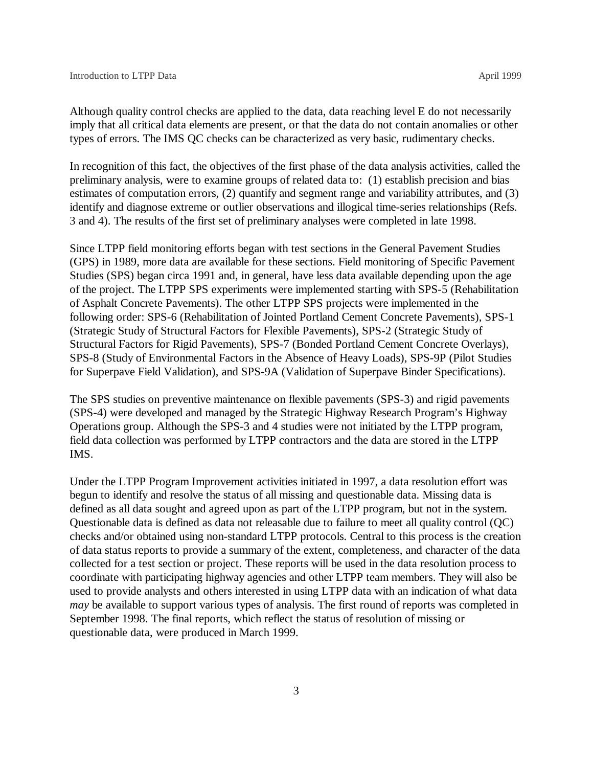Although quality control checks are applied to the data, data reaching level E do not necessarily imply that all critical data elements are present, or that the data do not contain anomalies or other types of errors. The IMS QC checks can be characterized as very basic, rudimentary checks.

In recognition of this fact, the objectives of the first phase of the data analysis activities, called the preliminary analysis, were to examine groups of related data to: (1) establish precision and bias estimates of computation errors, (2) quantify and segment range and variability attributes, and (3) identify and diagnose extreme or outlier observations and illogical time-series relationships (Refs. 3 and 4). The results of the first set of preliminary analyses were completed in late 1998.

Since LTPP field monitoring efforts began with test sections in the General Pavement Studies (GPS) in 1989, more data are available for these sections. Field monitoring of Specific Pavement Studies (SPS) began circa 1991 and, in general, have less data available depending upon the age of the project. The LTPP SPS experiments were implemented starting with SPS-5 (Rehabilitation of Asphalt Concrete Pavements). The other LTPP SPS projects were implemented in the following order: SPS-6 (Rehabilitation of Jointed Portland Cement Concrete Pavements), SPS-1 (Strategic Study of Structural Factors for Flexible Pavements), SPS-2 (Strategic Study of Structural Factors for Rigid Pavements), SPS-7 (Bonded Portland Cement Concrete Overlays), SPS-8 (Study of Environmental Factors in the Absence of Heavy Loads), SPS-9P (Pilot Studies for Superpave Field Validation), and SPS-9A (Validation of Superpave Binder Specifications).

The SPS studies on preventive maintenance on flexible pavements (SPS-3) and rigid pavements (SPS-4) were developed and managed by the Strategic Highway Research Program's Highway Operations group. Although the SPS-3 and 4 studies were not initiated by the LTPP program, field data collection was performed by LTPP contractors and the data are stored in the LTPP IMS.

Under the LTPP Program Improvement activities initiated in 1997, a data resolution effort was begun to identify and resolve the status of all missing and questionable data. Missing data is defined as all data sought and agreed upon as part of the LTPP program, but not in the system. Questionable data is defined as data not releasable due to failure to meet all quality control (QC) checks and/or obtained using non-standard LTPP protocols. Central to this process is the creation of data status reports to provide a summary of the extent, completeness, and character of the data collected for a test section or project. These reports will be used in the data resolution process to coordinate with participating highway agencies and other LTPP team members. They will also be used to provide analysts and others interested in using LTPP data with an indication of what data *may* be available to support various types of analysis. The first round of reports was completed in September 1998. The final reports, which reflect the status of resolution of missing or questionable data, were produced in March 1999.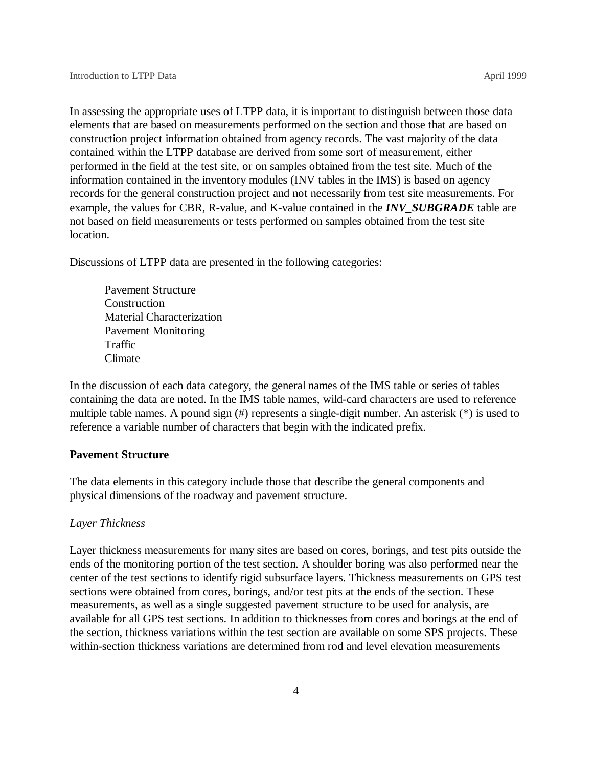In assessing the appropriate uses of LTPP data, it is important to distinguish between those data elements that are based on measurements performed on the section and those that are based on construction project information obtained from agency records. The vast majority of the data contained within the LTPP database are derived from some sort of measurement, either performed in the field at the test site, or on samples obtained from the test site. Much of the information contained in the inventory modules (INV tables in the IMS) is based on agency records for the general construction project and not necessarily from test site measurements. For example, the values for CBR, R-value, and K-value contained in the *INV\_SUBGRADE* table are not based on field measurements or tests performed on samples obtained from the test site location.

Discussions of LTPP data are presented in the following categories:

Pavement Structure Construction Material Characterization Pavement Monitoring Traffic Climate

In the discussion of each data category, the general names of the IMS table or series of tables containing the data are noted. In the IMS table names, wild-card characters are used to reference multiple table names. A pound sign (#) represents a single-digit number. An asterisk (\*) is used to reference a variable number of characters that begin with the indicated prefix.

#### **Pavement Structure**

The data elements in this category include those that describe the general components and physical dimensions of the roadway and pavement structure.

#### *Layer Thickness*

Layer thickness measurements for many sites are based on cores, borings, and test pits outside the ends of the monitoring portion of the test section. A shoulder boring was also performed near the center of the test sections to identify rigid subsurface layers. Thickness measurements on GPS test sections were obtained from cores, borings, and/or test pits at the ends of the section. These measurements, as well as a single suggested pavement structure to be used for analysis, are available for all GPS test sections. In addition to thicknesses from cores and borings at the end of the section, thickness variations within the test section are available on some SPS projects. These within-section thickness variations are determined from rod and level elevation measurements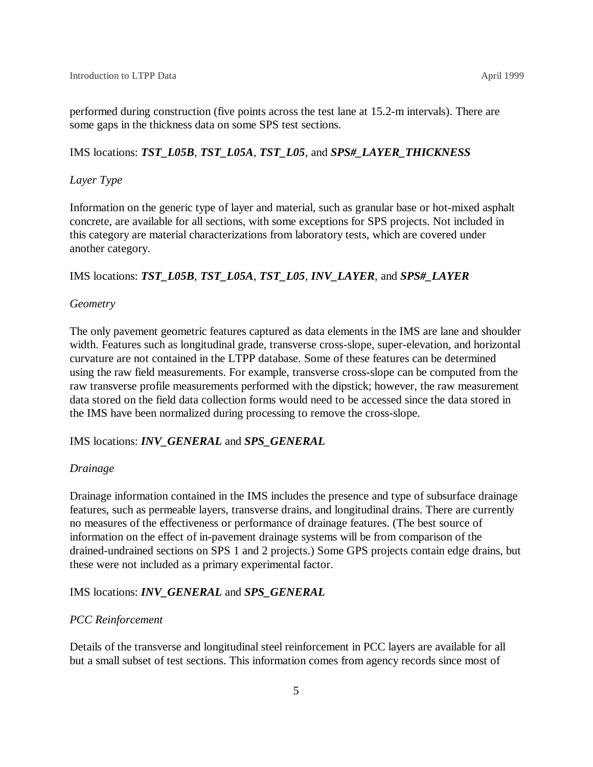performed during construction (five points across the test lane at 15.2-m intervals). There are some gaps in the thickness data on some SPS test sections.

IMS locations: *TST\_L05B*, *TST\_L05A*, *TST\_L05*, and *SPS#\_LAYER\_THICKNESS*

#### *Layer Type*

Information on the generic type of layer and material, such as granular base or hot-mixed asphalt concrete, are available for all sections, with some exceptions for SPS projects. Not included in this category are material characterizations from laboratory tests, which are covered under another category.

#### IMS locations: *TST\_L05B*, *TST\_L05A*, *TST\_L05*, *INV\_LAYER*, and *SPS#\_LAYER*

#### *Geometry*

The only pavement geometric features captured as data elements in the IMS are lane and shoulder width. Features such as longitudinal grade, transverse cross-slope, super-elevation, and horizontal curvature are not contained in the LTPP database. Some of these features can be determined using the raw field measurements. For example, transverse cross-slope can be computed from the raw transverse profile measurements performed with the dipstick; however, the raw measurement data stored on the field data collection forms would need to be accessed since the data stored in the IMS have been normalized during processing to remove the cross-slope.

#### IMS locations: *INV\_GENERAL* and *SPS\_GENERAL*

#### *Drainage*

Drainage information contained in the IMS includes the presence and type of subsurface drainage features, such as permeable layers, transverse drains, and longitudinal drains. There are currently no measures of the effectiveness or performance of drainage features. (The best source of information on the effect of in-pavement drainage systems will be from comparison of the drained-undrained sections on SPS 1 and 2 projects.) Some GPS projects contain edge drains, but these were not included as a primary experimental factor.

IMS locations: *INV\_GENERAL* and *SPS\_GENERAL*

#### *PCC Reinforcement*

Details of the transverse and longitudinal steel reinforcement in PCC layers are available for all but a small subset of test sections. This information comes from agency records since most of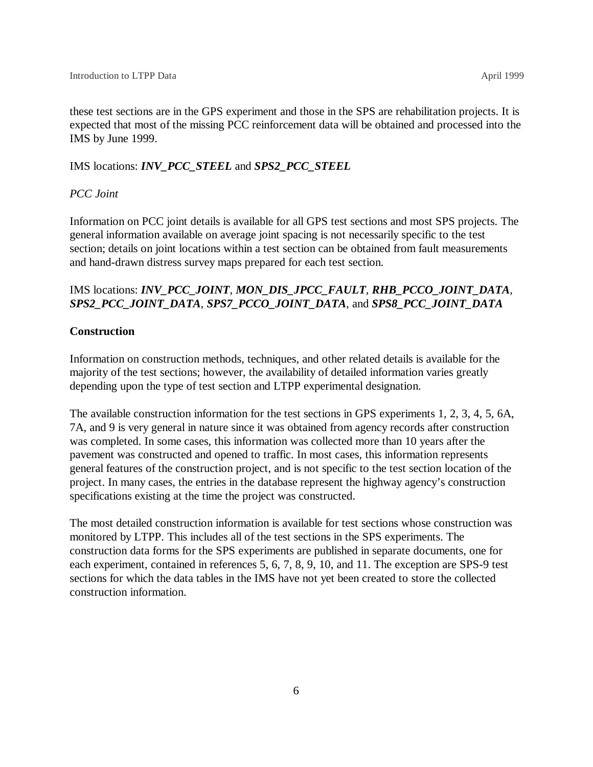these test sections are in the GPS experiment and those in the SPS are rehabilitation projects. It is expected that most of the missing PCC reinforcement data will be obtained and processed into the IMS by June 1999.

#### IMS locations: *INV\_PCC\_STEEL* and *SPS2\_PCC\_STEEL*

### *PCC Joint*

Information on PCC joint details is available for all GPS test sections and most SPS projects. The general information available on average joint spacing is not necessarily specific to the test section; details on joint locations within a test section can be obtained from fault measurements and hand-drawn distress survey maps prepared for each test section.

### IMS locations: *INV\_PCC\_JOINT*, *MON\_DIS\_JPCC\_FAULT*, *RHB\_PCCO\_JOINT\_DATA*, *SPS2\_PCC\_JOINT\_DATA*, *SPS7\_PCCO\_JOINT\_DATA*, and *SPS8\_PCC\_JOINT\_DATA*

#### **Construction**

Information on construction methods, techniques, and other related details is available for the majority of the test sections; however, the availability of detailed information varies greatly depending upon the type of test section and LTPP experimental designation.

The available construction information for the test sections in GPS experiments 1, 2, 3, 4, 5, 6A, 7A, and 9 is very general in nature since it was obtained from agency records after construction was completed. In some cases, this information was collected more than 10 years after the pavement was constructed and opened to traffic. In most cases, this information represents general features of the construction project, and is not specific to the test section location of the project. In many cases, the entries in the database represent the highway agency's construction specifications existing at the time the project was constructed.

The most detailed construction information is available for test sections whose construction was monitored by LTPP. This includes all of the test sections in the SPS experiments. The construction data forms for the SPS experiments are published in separate documents, one for each experiment, contained in references 5, 6, 7, 8, 9, 10, and 11. The exception are SPS-9 test sections for which the data tables in the IMS have not yet been created to store the collected construction information.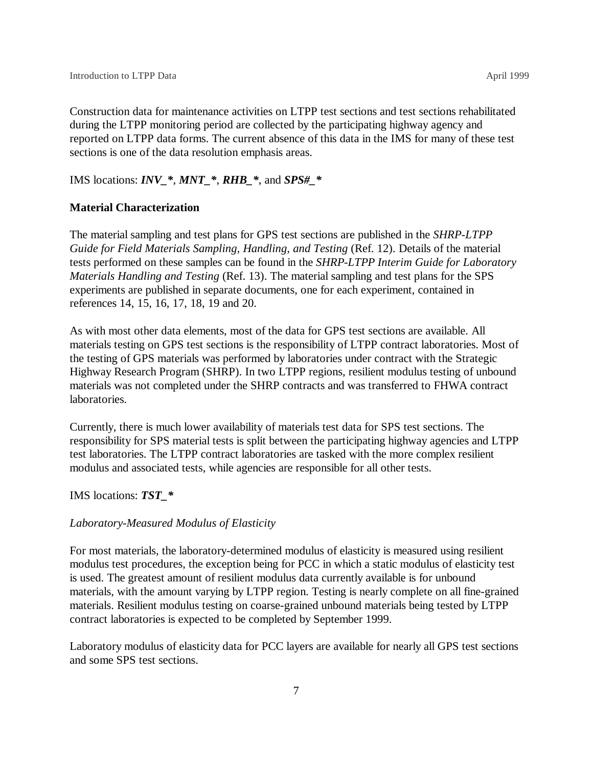Construction data for maintenance activities on LTPP test sections and test sections rehabilitated during the LTPP monitoring period are collected by the participating highway agency and reported on LTPP data forms. The current absence of this data in the IMS for many of these test sections is one of the data resolution emphasis areas.

#### IMS locations: *INV\_\**, *MNT\_\**, *RHB\_\**, and *SPS#\_\**

#### **Material Characterization**

The material sampling and test plans for GPS test sections are published in the *SHRP-LTPP Guide for Field Materials Sampling, Handling, and Testing* (Ref. 12). Details of the material tests performed on these samples can be found in the *SHRP-LTPP Interim Guide for Laboratory Materials Handling and Testing* (Ref. 13). The material sampling and test plans for the SPS experiments are published in separate documents, one for each experiment, contained in references 14, 15, 16, 17, 18, 19 and 20.

As with most other data elements, most of the data for GPS test sections are available. All materials testing on GPS test sections is the responsibility of LTPP contract laboratories. Most of the testing of GPS materials was performed by laboratories under contract with the Strategic Highway Research Program (SHRP). In two LTPP regions, resilient modulus testing of unbound materials was not completed under the SHRP contracts and was transferred to FHWA contract laboratories.

Currently, there is much lower availability of materials test data for SPS test sections. The responsibility for SPS material tests is split between the participating highway agencies and LTPP test laboratories. The LTPP contract laboratories are tasked with the more complex resilient modulus and associated tests, while agencies are responsible for all other tests.

#### IMS locations: *TST\_\**

#### *Laboratory-Measured Modulus of Elasticity*

For most materials, the laboratory-determined modulus of elasticity is measured using resilient modulus test procedures, the exception being for PCC in which a static modulus of elasticity test is used. The greatest amount of resilient modulus data currently available is for unbound materials, with the amount varying by LTPP region. Testing is nearly complete on all fine-grained materials. Resilient modulus testing on coarse-grained unbound materials being tested by LTPP contract laboratories is expected to be completed by September 1999.

Laboratory modulus of elasticity data for PCC layers are available for nearly all GPS test sections and some SPS test sections.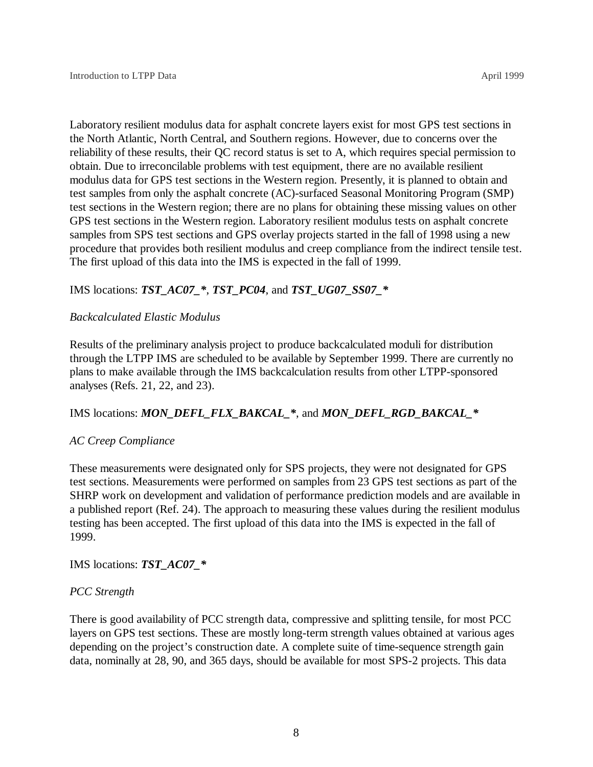Laboratory resilient modulus data for asphalt concrete layers exist for most GPS test sections in the North Atlantic, North Central, and Southern regions. However, due to concerns over the reliability of these results, their QC record status is set to A, which requires special permission to obtain. Due to irreconcilable problems with test equipment, there are no available resilient modulus data for GPS test sections in the Western region. Presently, it is planned to obtain and test samples from only the asphalt concrete (AC)-surfaced Seasonal Monitoring Program (SMP) test sections in the Western region; there are no plans for obtaining these missing values on other GPS test sections in the Western region. Laboratory resilient modulus tests on asphalt concrete samples from SPS test sections and GPS overlay projects started in the fall of 1998 using a new procedure that provides both resilient modulus and creep compliance from the indirect tensile test. The first upload of this data into the IMS is expected in the fall of 1999.

### IMS locations: *TST\_AC07\_\**, *TST\_PC04*, and *TST\_UG07\_SS07\_\**

### *Backcalculated Elastic Modulus*

Results of the preliminary analysis project to produce backcalculated moduli for distribution through the LTPP IMS are scheduled to be available by September 1999. There are currently no plans to make available through the IMS backcalculation results from other LTPP-sponsored analyses (Refs. 21, 22, and 23).

### IMS locations: *MON\_DEFL\_FLX\_BAKCAL\_\**, and *MON\_DEFL\_RGD\_BAKCAL\_\**

#### *AC Creep Compliance*

These measurements were designated only for SPS projects, they were not designated for GPS test sections. Measurements were performed on samples from 23 GPS test sections as part of the SHRP work on development and validation of performance prediction models and are available in a published report (Ref. 24). The approach to measuring these values during the resilient modulus testing has been accepted. The first upload of this data into the IMS is expected in the fall of 1999.

IMS locations: *TST\_AC07\_\**

#### *PCC Strength*

There is good availability of PCC strength data, compressive and splitting tensile, for most PCC layers on GPS test sections. These are mostly long-term strength values obtained at various ages depending on the project's construction date. A complete suite of time-sequence strength gain data, nominally at 28, 90, and 365 days, should be available for most SPS-2 projects. This data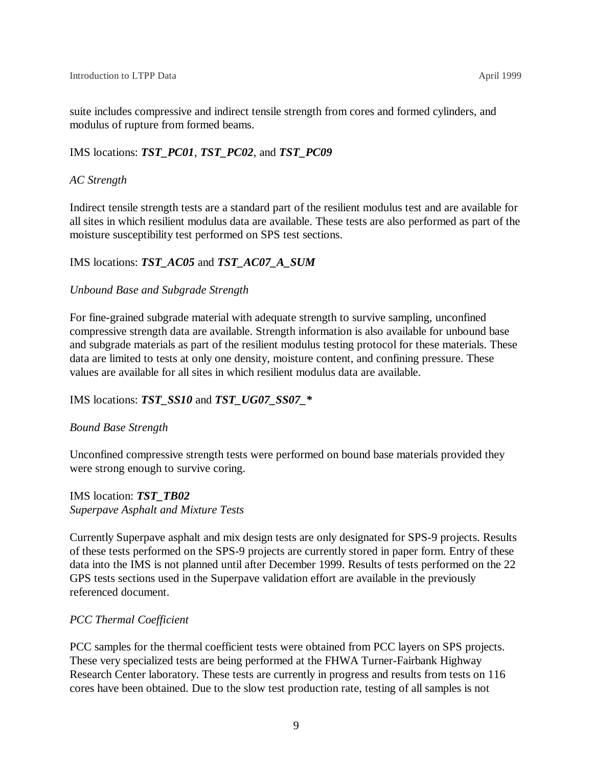suite includes compressive and indirect tensile strength from cores and formed cylinders, and modulus of rupture from formed beams.

### IMS locations: *TST\_PC01*, *TST\_PC02*, and *TST\_PC09*

### *AC Strength*

Indirect tensile strength tests are a standard part of the resilient modulus test and are available for all sites in which resilient modulus data are available. These tests are also performed as part of the moisture susceptibility test performed on SPS test sections.

### IMS locations: *TST\_AC05* and *TST\_AC07\_A\_SUM*

### *Unbound Base and Subgrade Strength*

For fine-grained subgrade material with adequate strength to survive sampling, unconfined compressive strength data are available. Strength information is also available for unbound base and subgrade materials as part of the resilient modulus testing protocol for these materials. These data are limited to tests at only one density, moisture content, and confining pressure. These values are available for all sites in which resilient modulus data are available.

### IMS locations: *TST\_SS10* and *TST\_UG07\_SS07\_\**

### *Bound Base Strength*

Unconfined compressive strength tests were performed on bound base materials provided they were strong enough to survive coring.

IMS location: *TST\_TB02 Superpave Asphalt and Mixture Tests*

Currently Superpave asphalt and mix design tests are only designated for SPS-9 projects. Results of these tests performed on the SPS-9 projects are currently stored in paper form. Entry of these data into the IMS is not planned until after December 1999. Results of tests performed on the 22 GPS tests sections used in the Superpave validation effort are available in the previously referenced document.

### *PCC Thermal Coefficient*

PCC samples for the thermal coefficient tests were obtained from PCC layers on SPS projects. These very specialized tests are being performed at the FHWA Turner-Fairbank Highway Research Center laboratory. These tests are currently in progress and results from tests on 116 cores have been obtained. Due to the slow test production rate, testing of all samples is not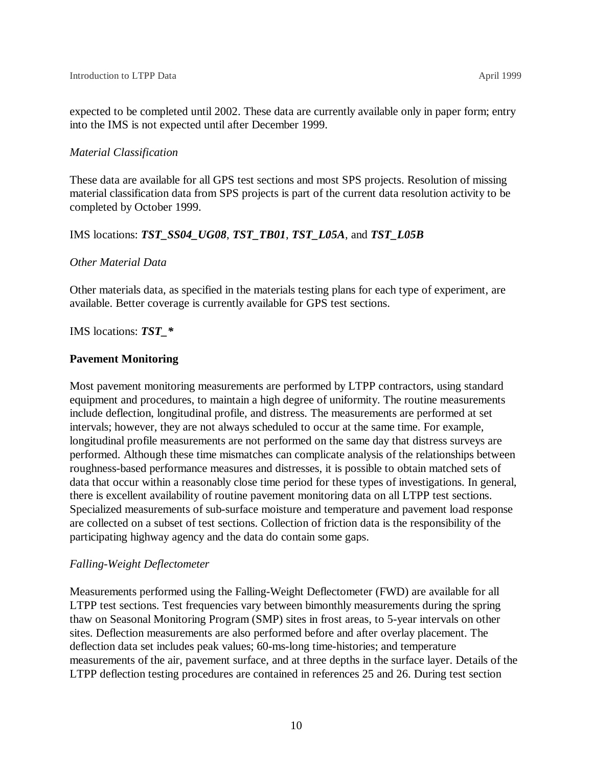expected to be completed until 2002. These data are currently available only in paper form; entry into the IMS is not expected until after December 1999.

### *Material Classification*

These data are available for all GPS test sections and most SPS projects. Resolution of missing material classification data from SPS projects is part of the current data resolution activity to be completed by October 1999.

### IMS locations: *TST\_SS04\_UG08*, *TST\_TB01*, *TST\_L05A*, and *TST\_L05B*

### *Other Material Data*

Other materials data, as specified in the materials testing plans for each type of experiment, are available. Better coverage is currently available for GPS test sections.

IMS locations: *TST\_\**

### **Pavement Monitoring**

Most pavement monitoring measurements are performed by LTPP contractors, using standard equipment and procedures, to maintain a high degree of uniformity. The routine measurements include deflection, longitudinal profile, and distress. The measurements are performed at set intervals; however, they are not always scheduled to occur at the same time. For example, longitudinal profile measurements are not performed on the same day that distress surveys are performed. Although these time mismatches can complicate analysis of the relationships between roughness-based performance measures and distresses, it is possible to obtain matched sets of data that occur within a reasonably close time period for these types of investigations. In general, there is excellent availability of routine pavement monitoring data on all LTPP test sections. Specialized measurements of sub-surface moisture and temperature and pavement load response are collected on a subset of test sections. Collection of friction data is the responsibility of the participating highway agency and the data do contain some gaps.

### *Falling-Weight Deflectometer*

Measurements performed using the Falling-Weight Deflectometer (FWD) are available for all LTPP test sections. Test frequencies vary between bimonthly measurements during the spring thaw on Seasonal Monitoring Program (SMP) sites in frost areas, to 5-year intervals on other sites. Deflection measurements are also performed before and after overlay placement. The deflection data set includes peak values; 60-ms-long time-histories; and temperature measurements of the air, pavement surface, and at three depths in the surface layer. Details of the LTPP deflection testing procedures are contained in references 25 and 26. During test section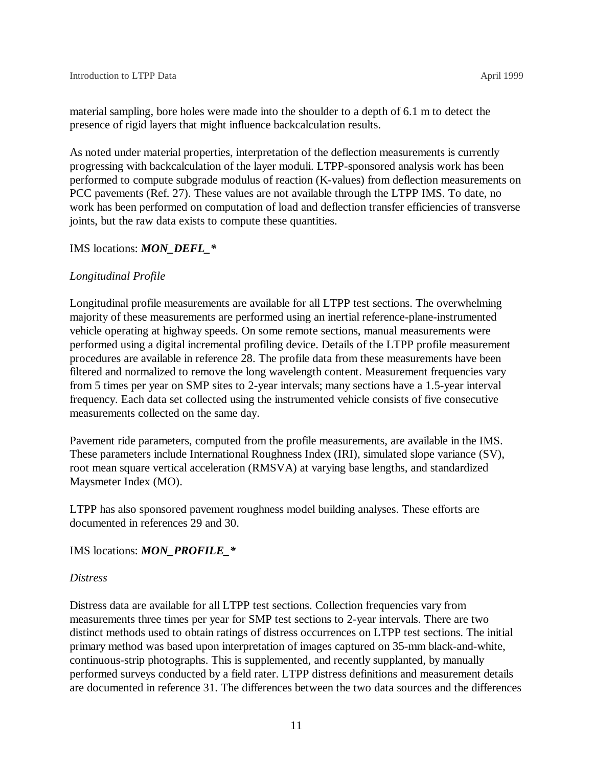material sampling, bore holes were made into the shoulder to a depth of 6.1 m to detect the presence of rigid layers that might influence backcalculation results.

As noted under material properties, interpretation of the deflection measurements is currently progressing with backcalculation of the layer moduli. LTPP-sponsored analysis work has been performed to compute subgrade modulus of reaction (K-values) from deflection measurements on PCC pavements (Ref. 27). These values are not available through the LTPP IMS. To date, no work has been performed on computation of load and deflection transfer efficiencies of transverse joints, but the raw data exists to compute these quantities.

#### IMS locations: *MON\_DEFL\_\**

#### *Longitudinal Profile*

Longitudinal profile measurements are available for all LTPP test sections. The overwhelming majority of these measurements are performed using an inertial reference-plane-instrumented vehicle operating at highway speeds. On some remote sections, manual measurements were performed using a digital incremental profiling device. Details of the LTPP profile measurement procedures are available in reference 28. The profile data from these measurements have been filtered and normalized to remove the long wavelength content. Measurement frequencies vary from 5 times per year on SMP sites to 2-year intervals; many sections have a 1.5-year interval frequency. Each data set collected using the instrumented vehicle consists of five consecutive measurements collected on the same day.

Pavement ride parameters, computed from the profile measurements, are available in the IMS. These parameters include International Roughness Index (IRI), simulated slope variance (SV), root mean square vertical acceleration (RMSVA) at varying base lengths, and standardized Maysmeter Index (MO).

LTPP has also sponsored pavement roughness model building analyses. These efforts are documented in references 29 and 30.

#### IMS locations: *MON\_PROFILE\_\**

#### *Distress*

Distress data are available for all LTPP test sections. Collection frequencies vary from measurements three times per year for SMP test sections to 2-year intervals. There are two distinct methods used to obtain ratings of distress occurrences on LTPP test sections. The initial primary method was based upon interpretation of images captured on 35-mm black-and-white, continuous-strip photographs. This is supplemented, and recently supplanted, by manually performed surveys conducted by a field rater. LTPP distress definitions and measurement details are documented in reference 31. The differences between the two data sources and the differences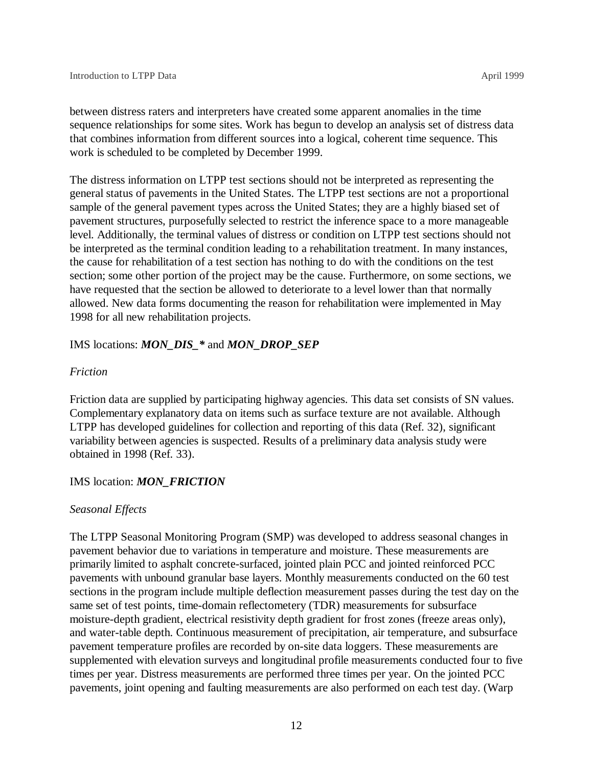between distress raters and interpreters have created some apparent anomalies in the time sequence relationships for some sites. Work has begun to develop an analysis set of distress data that combines information from different sources into a logical, coherent time sequence. This work is scheduled to be completed by December 1999.

The distress information on LTPP test sections should not be interpreted as representing the general status of pavements in the United States. The LTPP test sections are not a proportional sample of the general pavement types across the United States; they are a highly biased set of pavement structures, purposefully selected to restrict the inference space to a more manageable level. Additionally, the terminal values of distress or condition on LTPP test sections should not be interpreted as the terminal condition leading to a rehabilitation treatment. In many instances, the cause for rehabilitation of a test section has nothing to do with the conditions on the test section; some other portion of the project may be the cause. Furthermore, on some sections, we have requested that the section be allowed to deteriorate to a level lower than that normally allowed. New data forms documenting the reason for rehabilitation were implemented in May 1998 for all new rehabilitation projects.

#### IMS locations: *MON\_DIS\_\** and *MON\_DROP\_SEP*

#### *Friction*

Friction data are supplied by participating highway agencies. This data set consists of SN values. Complementary explanatory data on items such as surface texture are not available. Although LTPP has developed guidelines for collection and reporting of this data (Ref. 32), significant variability between agencies is suspected. Results of a preliminary data analysis study were obtained in 1998 (Ref. 33).

#### IMS location: *MON\_FRICTION*

#### *Seasonal Effects*

The LTPP Seasonal Monitoring Program (SMP) was developed to address seasonal changes in pavement behavior due to variations in temperature and moisture. These measurements are primarily limited to asphalt concrete-surfaced, jointed plain PCC and jointed reinforced PCC pavements with unbound granular base layers. Monthly measurements conducted on the 60 test sections in the program include multiple deflection measurement passes during the test day on the same set of test points, time-domain reflectometery (TDR) measurements for subsurface moisture-depth gradient, electrical resistivity depth gradient for frost zones (freeze areas only), and water-table depth. Continuous measurement of precipitation, air temperature, and subsurface pavement temperature profiles are recorded by on-site data loggers. These measurements are supplemented with elevation surveys and longitudinal profile measurements conducted four to five times per year. Distress measurements are performed three times per year. On the jointed PCC pavements, joint opening and faulting measurements are also performed on each test day. (Warp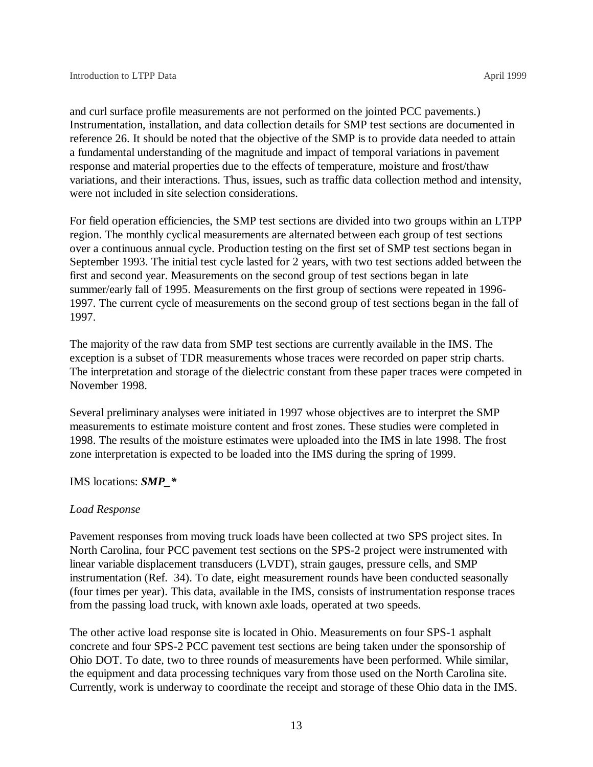and curl surface profile measurements are not performed on the jointed PCC pavements.) Instrumentation, installation, and data collection details for SMP test sections are documented in reference 26. It should be noted that the objective of the SMP is to provide data needed to attain a fundamental understanding of the magnitude and impact of temporal variations in pavement response and material properties due to the effects of temperature, moisture and frost/thaw variations, and their interactions. Thus, issues, such as traffic data collection method and intensity, were not included in site selection considerations.

For field operation efficiencies, the SMP test sections are divided into two groups within an LTPP region. The monthly cyclical measurements are alternated between each group of test sections over a continuous annual cycle. Production testing on the first set of SMP test sections began in September 1993. The initial test cycle lasted for 2 years, with two test sections added between the first and second year. Measurements on the second group of test sections began in late summer/early fall of 1995. Measurements on the first group of sections were repeated in 1996- 1997. The current cycle of measurements on the second group of test sections began in the fall of 1997.

The majority of the raw data from SMP test sections are currently available in the IMS. The exception is a subset of TDR measurements whose traces were recorded on paper strip charts. The interpretation and storage of the dielectric constant from these paper traces were competed in November 1998.

Several preliminary analyses were initiated in 1997 whose objectives are to interpret the SMP measurements to estimate moisture content and frost zones. These studies were completed in 1998. The results of the moisture estimates were uploaded into the IMS in late 1998. The frost zone interpretation is expected to be loaded into the IMS during the spring of 1999.

IMS locations: *SMP\_\**

### *Load Response*

Pavement responses from moving truck loads have been collected at two SPS project sites. In North Carolina, four PCC pavement test sections on the SPS-2 project were instrumented with linear variable displacement transducers (LVDT), strain gauges, pressure cells, and SMP instrumentation (Ref. 34). To date, eight measurement rounds have been conducted seasonally (four times per year). This data, available in the IMS, consists of instrumentation response traces from the passing load truck, with known axle loads, operated at two speeds.

The other active load response site is located in Ohio. Measurements on four SPS-1 asphalt concrete and four SPS-2 PCC pavement test sections are being taken under the sponsorship of Ohio DOT. To date, two to three rounds of measurements have been performed. While similar, the equipment and data processing techniques vary from those used on the North Carolina site. Currently, work is underway to coordinate the receipt and storage of these Ohio data in the IMS.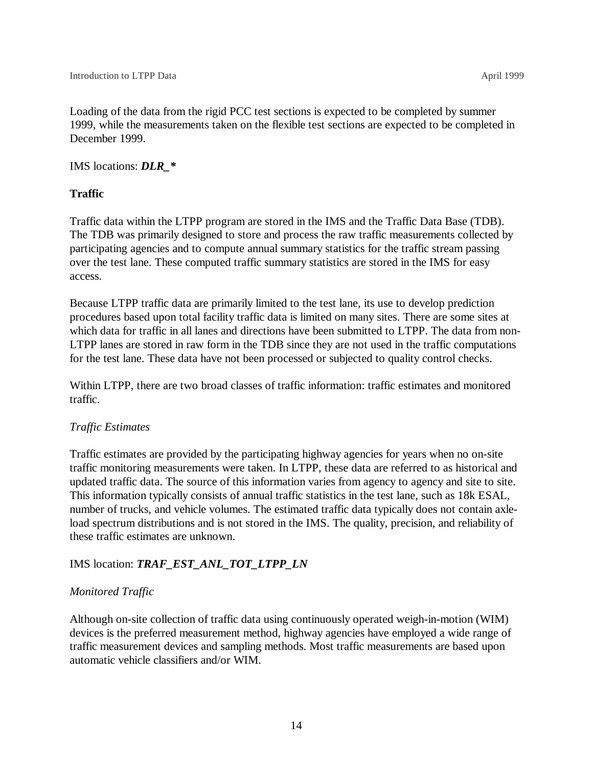Loading of the data from the rigid PCC test sections is expected to be completed by summer 1999, while the measurements taken on the flexible test sections are expected to be completed in December 1999.

IMS locations: *DLR\_\**

### **Traffic**

Traffic data within the LTPP program are stored in the IMS and the Traffic Data Base (TDB). The TDB was primarily designed to store and process the raw traffic measurements collected by participating agencies and to compute annual summary statistics for the traffic stream passing over the test lane. These computed traffic summary statistics are stored in the IMS for easy access.

Because LTPP traffic data are primarily limited to the test lane, its use to develop prediction procedures based upon total facility traffic data is limited on many sites. There are some sites at which data for traffic in all lanes and directions have been submitted to LTPP. The data from non-LTPP lanes are stored in raw form in the TDB since they are not used in the traffic computations for the test lane. These data have not been processed or subjected to quality control checks.

Within LTPP, there are two broad classes of traffic information: traffic estimates and monitored traffic.

### *Traffic Estimates*

Traffic estimates are provided by the participating highway agencies for years when no on-site traffic monitoring measurements were taken. In LTPP, these data are referred to as historical and updated traffic data. The source of this information varies from agency to agency and site to site. This information typically consists of annual traffic statistics in the test lane, such as 18k ESAL, number of trucks, and vehicle volumes. The estimated traffic data typically does not contain axleload spectrum distributions and is not stored in the IMS. The quality, precision, and reliability of these traffic estimates are unknown.

### IMS location: *TRAF\_EST\_ANL\_TOT\_LTPP\_LN*

### *Monitored Traffic*

Although on-site collection of traffic data using continuously operated weigh-in-motion (WIM) devices is the preferred measurement method, highway agencies have employed a wide range of traffic measurement devices and sampling methods. Most traffic measurements are based upon automatic vehicle classifiers and/or WIM.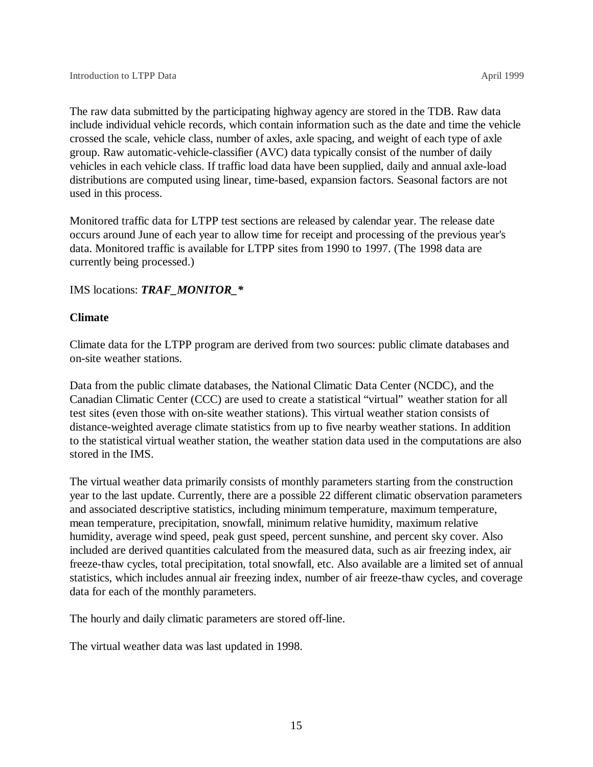The raw data submitted by the participating highway agency are stored in the TDB. Raw data include individual vehicle records, which contain information such as the date and time the vehicle crossed the scale, vehicle class, number of axles, axle spacing, and weight of each type of axle group. Raw automatic-vehicle-classifier (AVC) data typically consist of the number of daily vehicles in each vehicle class. If traffic load data have been supplied, daily and annual axle-load distributions are computed using linear, time-based, expansion factors. Seasonal factors are not used in this process.

Monitored traffic data for LTPP test sections are released by calendar year. The release date occurs around June of each year to allow time for receipt and processing of the previous year's data. Monitored traffic is available for LTPP sites from 1990 to 1997. (The 1998 data are currently being processed.)

IMS locations: *TRAF\_MONITOR\_\**

#### **Climate**

Climate data for the LTPP program are derived from two sources: public climate databases and on-site weather stations.

Data from the public climate databases, the National Climatic Data Center (NCDC), and the Canadian Climatic Center (CCC) are used to create a statistical "virtual" weather station for all test sites (even those with on-site weather stations). This virtual weather station consists of distance-weighted average climate statistics from up to five nearby weather stations. In addition to the statistical virtual weather station, the weather station data used in the computations are also stored in the IMS.

The virtual weather data primarily consists of monthly parameters starting from the construction year to the last update. Currently, there are a possible 22 different climatic observation parameters and associated descriptive statistics, including minimum temperature, maximum temperature, mean temperature, precipitation, snowfall, minimum relative humidity, maximum relative humidity, average wind speed, peak gust speed, percent sunshine, and percent sky cover. Also included are derived quantities calculated from the measured data, such as air freezing index, air freeze-thaw cycles, total precipitation, total snowfall, etc. Also available are a limited set of annual statistics, which includes annual air freezing index, number of air freeze-thaw cycles, and coverage data for each of the monthly parameters.

The hourly and daily climatic parameters are stored off-line.

The virtual weather data was last updated in 1998.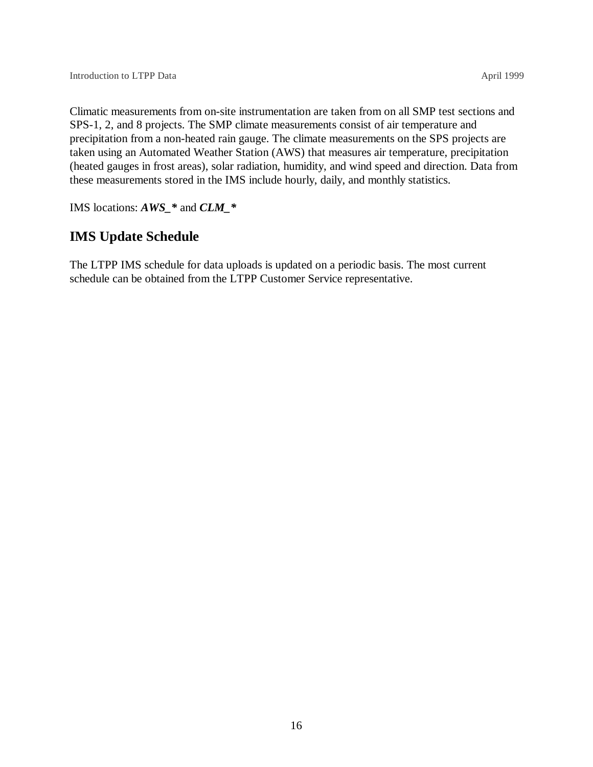Climatic measurements from on-site instrumentation are taken from on all SMP test sections and SPS-1, 2, and 8 projects. The SMP climate measurements consist of air temperature and precipitation from a non-heated rain gauge. The climate measurements on the SPS projects are taken using an Automated Weather Station (AWS) that measures air temperature, precipitation (heated gauges in frost areas), solar radiation, humidity, and wind speed and direction. Data from these measurements stored in the IMS include hourly, daily, and monthly statistics.

IMS locations: *AWS\_\** and *CLM\_\**

# **IMS Update Schedule**

The LTPP IMS schedule for data uploads is updated on a periodic basis. The most current schedule can be obtained from the LTPP Customer Service representative.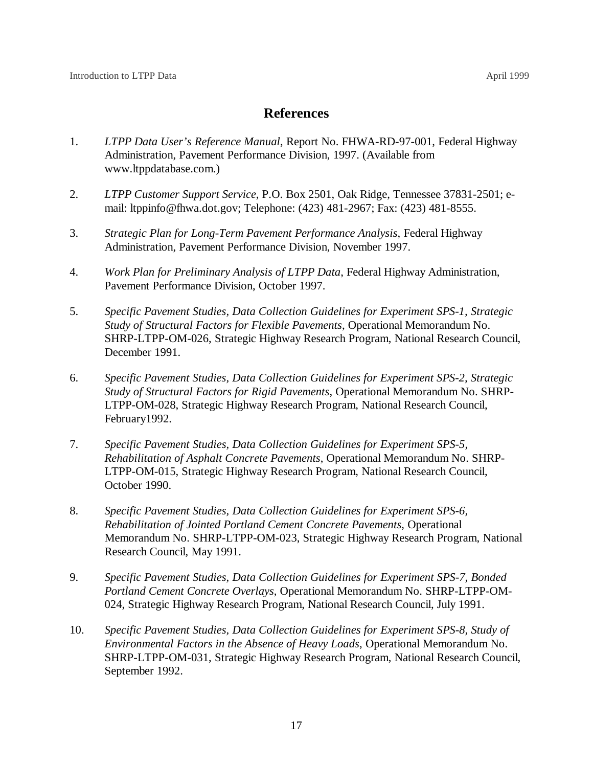# **References**

- 1. *LTPP Data User's Reference Manual*, Report No. FHWA-RD-97-001, Federal Highway Administration, Pavement Performance Division, 1997. (Available from www.ltppdatabase.com.)
- 2. *LTPP Customer Support Service*, P.O. Box 2501, Oak Ridge, Tennessee 37831-2501; email: ltppinfo@fhwa.dot.gov; Telephone: (423) 481-2967; Fax: (423) 481-8555.
- 3. *Strategic Plan for Long-Term Pavement Performance Analysis*, Federal Highway Administration, Pavement Performance Division, November 1997.
- 4. *Work Plan for Preliminary Analysis of LTPP Data*, Federal Highway Administration, Pavement Performance Division, October 1997.
- 5. *Specific Pavement Studies, Data Collection Guidelines for Experiment SPS-1, Strategic Study of Structural Factors for Flexible Pavements*, Operational Memorandum No. SHRP-LTPP-OM-026, Strategic Highway Research Program, National Research Council, December 1991.
- 6. *Specific Pavement Studies, Data Collection Guidelines for Experiment SPS-2, Strategic Study of Structural Factors for Rigid Pavements*, Operational Memorandum No. SHRP-LTPP-OM-028, Strategic Highway Research Program, National Research Council, February1992.
- 7. *Specific Pavement Studies, Data Collection Guidelines for Experiment SPS-5, Rehabilitation of Asphalt Concrete Pavements*, Operational Memorandum No. SHRP-LTPP-OM-015, Strategic Highway Research Program, National Research Council, October 1990.
- 8. *Specific Pavement Studies, Data Collection Guidelines for Experiment SPS-6, Rehabilitation of Jointed Portland Cement Concrete Pavements*, Operational Memorandum No. SHRP-LTPP-OM-023, Strategic Highway Research Program, National Research Council, May 1991.
- 9. *Specific Pavement Studies, Data Collection Guidelines for Experiment SPS-7, Bonded Portland Cement Concrete Overlays*, Operational Memorandum No. SHRP-LTPP-OM-024, Strategic Highway Research Program, National Research Council, July 1991.
- 10. *Specific Pavement Studies, Data Collection Guidelines for Experiment SPS-8, Study of Environmental Factors in the Absence of Heavy Loads*, Operational Memorandum No. SHRP-LTPP-OM-031, Strategic Highway Research Program, National Research Council, September 1992.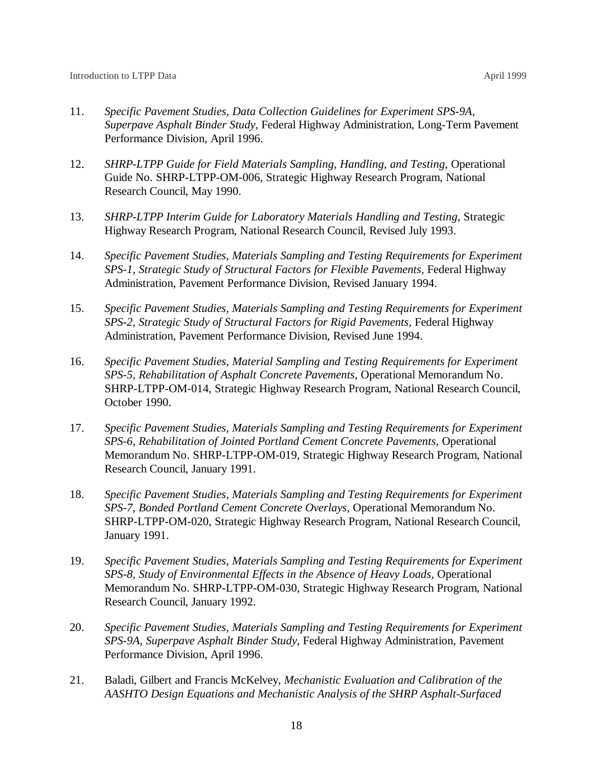- 11. *Specific Pavement Studies, Data Collection Guidelines for Experiment SPS-9A, Superpave Asphalt Binder Study*, Federal Highway Administration, Long-Term Pavement Performance Division, April 1996.
- 12. *SHRP-LTPP Guide for Field Materials Sampling, Handling, and Testing*, Operational Guide No. SHRP-LTPP-OM-006, Strategic Highway Research Program, National Research Council, May 1990.
- 13. *SHRP-LTPP Interim Guide for Laboratory Materials Handling and Testing*, Strategic Highway Research Program, National Research Council, Revised July 1993.
- 14. *Specific Pavement Studies, Materials Sampling and Testing Requirements for Experiment SPS-1, Strategic Study of Structural Factors for Flexible Pavements,* Federal Highway Administration, Pavement Performance Division, Revised January 1994.
- 15. *Specific Pavement Studies, Materials Sampling and Testing Requirements for Experiment SPS-2, Strategic Study of Structural Factors for Rigid Pavements,* Federal Highway Administration, Pavement Performance Division, Revised June 1994.
- 16. *Specific Pavement Studies, Material Sampling and Testing Requirements for Experiment SPS-5, Rehabilitation of Asphalt Concrete Pavements*, Operational Memorandum No. SHRP-LTPP-OM-014, Strategic Highway Research Program, National Research Council, October 1990.
- 17. *Specific Pavement Studies, Materials Sampling and Testing Requirements for Experiment SPS-6, Rehabilitation of Jointed Portland Cement Concrete Pavements*, Operational Memorandum No. SHRP-LTPP-OM-019, Strategic Highway Research Program, National Research Council, January 1991.
- 18. *Specific Pavement Studies, Materials Sampling and Testing Requirements for Experiment SPS-7, Bonded Portland Cement Concrete Overlays*, Operational Memorandum No. SHRP-LTPP-OM-020, Strategic Highway Research Program, National Research Council, January 1991.
- 19. *Specific Pavement Studies, Materials Sampling and Testing Requirements for Experiment SPS-8, Study of Environmental Effects in the Absence of Heavy Loads*, Operational Memorandum No. SHRP-LTPP-OM-030, Strategic Highway Research Program, National Research Council, January 1992.
- 20. *Specific Pavement Studies, Materials Sampling and Testing Requirements for Experiment SPS-9A, Superpave Asphalt Binder Study*, Federal Highway Administration, Pavement Performance Division, April 1996.
- 21. Baladi, Gilbert and Francis McKelvey, *Mechanistic Evaluation and Calibration of the AASHTO Design Equations and Mechanistic Analysis of the SHRP Asphalt-Surfaced*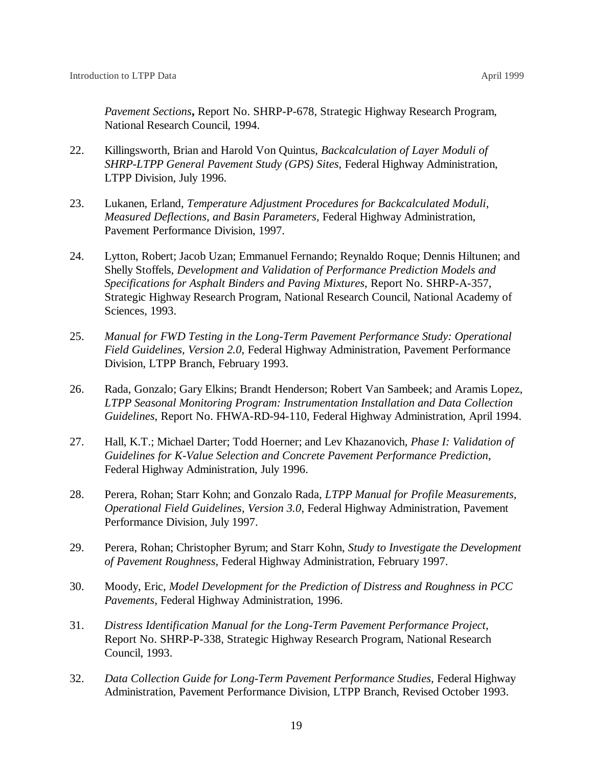*Pavement Sections***,** Report No. SHRP-P-678, Strategic Highway Research Program, National Research Council, 1994.

- 22. Killingsworth, Brian and Harold Von Quintus, *Backcalculation of Layer Moduli of SHRP-LTPP General Pavement Study (GPS) Sites*, Federal Highway Administration, LTPP Division, July 1996.
- 23. Lukanen, Erland, *Temperature Adjustment Procedures for Backcalculated Moduli, Measured Deflections, and Basin Parameters*, Federal Highway Administration, Pavement Performance Division, 1997.
- 24. Lytton, Robert; Jacob Uzan; Emmanuel Fernando; Reynaldo Roque; Dennis Hiltunen; and Shelly Stoffels, *Development and Validation of Performance Prediction Models and Specifications for Asphalt Binders and Paving Mixtures*, Report No. SHRP-A-357, Strategic Highway Research Program, National Research Council, National Academy of Sciences, 1993.
- 25. *Manual for FWD Testing in the Long-Term Pavement Performance Study: Operational Field Guidelines, Version 2.0*, Federal Highway Administration, Pavement Performance Division, LTPP Branch, February 1993.
- 26. Rada, Gonzalo; Gary Elkins; Brandt Henderson; Robert Van Sambeek; and Aramis Lopez, *LTPP Seasonal Monitoring Program: Instrumentation Installation and Data Collection Guidelines*, Report No. FHWA-RD-94-110, Federal Highway Administration, April 1994.
- 27. Hall, K.T.; Michael Darter; Todd Hoerner; and Lev Khazanovich, *Phase I: Validation of Guidelines for K-Value Selection and Concrete Pavement Performance Prediction*, Federal Highway Administration, July 1996.
- 28. Perera, Rohan; Starr Kohn; and Gonzalo Rada, *LTPP Manual for Profile Measurements, Operational Field Guidelines, Version 3.0*, Federal Highway Administration, Pavement Performance Division, July 1997.
- 29. Perera, Rohan; Christopher Byrum; and Starr Kohn, *Study to Investigate the Development of Pavement Roughness,* Federal Highway Administration, February 1997.
- 30. Moody, Eric, *Model Development for the Prediction of Distress and Roughness in PCC Pavements*, Federal Highway Administration, 1996.
- 31. *Distress Identification Manual for the Long-Term Pavement Performance Project*, Report No. SHRP-P-338, Strategic Highway Research Program, National Research Council, 1993.
- 32. *Data Collection Guide for Long-Term Pavement Performance Studies*, Federal Highway Administration, Pavement Performance Division, LTPP Branch, Revised October 1993.